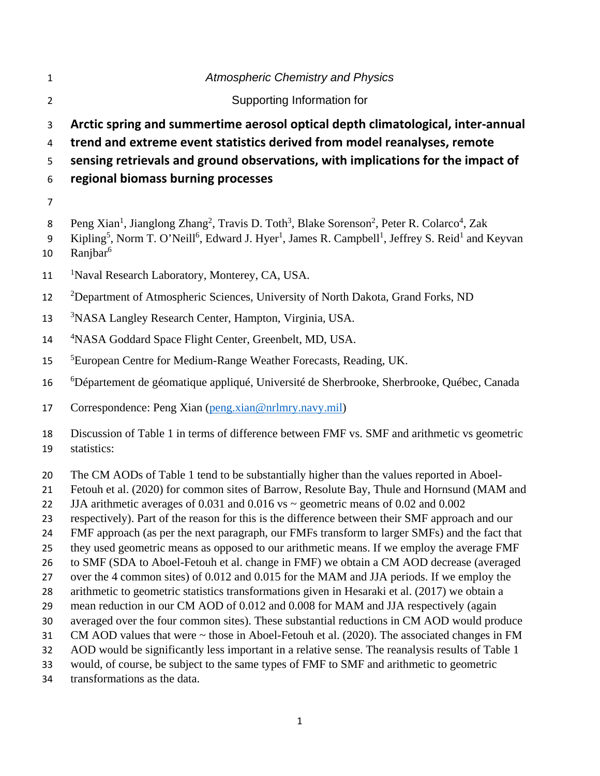| $\mathbf{1}$                                                                           | <b>Atmospheric Chemistry and Physics</b>                                                                                                                                                                                                                                                                                                                                                                                                                                                                                                                                                                                                                                                                                                                                                                                                                                                                                                                                                                                                                                                                                                                                                                                                                                                                                                                                                               |
|----------------------------------------------------------------------------------------|--------------------------------------------------------------------------------------------------------------------------------------------------------------------------------------------------------------------------------------------------------------------------------------------------------------------------------------------------------------------------------------------------------------------------------------------------------------------------------------------------------------------------------------------------------------------------------------------------------------------------------------------------------------------------------------------------------------------------------------------------------------------------------------------------------------------------------------------------------------------------------------------------------------------------------------------------------------------------------------------------------------------------------------------------------------------------------------------------------------------------------------------------------------------------------------------------------------------------------------------------------------------------------------------------------------------------------------------------------------------------------------------------------|
| $\overline{2}$                                                                         | Supporting Information for                                                                                                                                                                                                                                                                                                                                                                                                                                                                                                                                                                                                                                                                                                                                                                                                                                                                                                                                                                                                                                                                                                                                                                                                                                                                                                                                                                             |
| 3<br>4<br>5                                                                            | Arctic spring and summertime aerosol optical depth climatological, inter-annual<br>trend and extreme event statistics derived from model reanalyses, remote<br>sensing retrievals and ground observations, with implications for the impact of                                                                                                                                                                                                                                                                                                                                                                                                                                                                                                                                                                                                                                                                                                                                                                                                                                                                                                                                                                                                                                                                                                                                                         |
| 6                                                                                      | regional biomass burning processes                                                                                                                                                                                                                                                                                                                                                                                                                                                                                                                                                                                                                                                                                                                                                                                                                                                                                                                                                                                                                                                                                                                                                                                                                                                                                                                                                                     |
| $\overline{7}$                                                                         |                                                                                                                                                                                                                                                                                                                                                                                                                                                                                                                                                                                                                                                                                                                                                                                                                                                                                                                                                                                                                                                                                                                                                                                                                                                                                                                                                                                                        |
| 8<br>9<br>10                                                                           | Peng Xian <sup>1</sup> , Jianglong Zhang <sup>2</sup> , Travis D. Toth <sup>3</sup> , Blake Sorenson <sup>2</sup> , Peter R. Colarco <sup>4</sup> , Zak<br>Kipling <sup>5</sup> , Norm T. O'Neill <sup>6</sup> , Edward J. Hyer <sup>1</sup> , James R. Campbell <sup>1</sup> , Jeffrey S. Reid <sup>1</sup> and Keyvan<br>Ranjbar <sup>6</sup>                                                                                                                                                                                                                                                                                                                                                                                                                                                                                                                                                                                                                                                                                                                                                                                                                                                                                                                                                                                                                                                        |
| 11                                                                                     | <sup>1</sup> Naval Research Laboratory, Monterey, CA, USA.                                                                                                                                                                                                                                                                                                                                                                                                                                                                                                                                                                                                                                                                                                                                                                                                                                                                                                                                                                                                                                                                                                                                                                                                                                                                                                                                             |
| 12                                                                                     | <sup>2</sup> Department of Atmospheric Sciences, University of North Dakota, Grand Forks, ND                                                                                                                                                                                                                                                                                                                                                                                                                                                                                                                                                                                                                                                                                                                                                                                                                                                                                                                                                                                                                                                                                                                                                                                                                                                                                                           |
| 13                                                                                     | <sup>3</sup> NASA Langley Research Center, Hampton, Virginia, USA.                                                                                                                                                                                                                                                                                                                                                                                                                                                                                                                                                                                                                                                                                                                                                                                                                                                                                                                                                                                                                                                                                                                                                                                                                                                                                                                                     |
| 14                                                                                     | <sup>4</sup> NASA Goddard Space Flight Center, Greenbelt, MD, USA.                                                                                                                                                                                                                                                                                                                                                                                                                                                                                                                                                                                                                                                                                                                                                                                                                                                                                                                                                                                                                                                                                                                                                                                                                                                                                                                                     |
| 15                                                                                     | <sup>5</sup> European Centre for Medium-Range Weather Forecasts, Reading, UK.                                                                                                                                                                                                                                                                                                                                                                                                                                                                                                                                                                                                                                                                                                                                                                                                                                                                                                                                                                                                                                                                                                                                                                                                                                                                                                                          |
| 16                                                                                     | <sup>6</sup> Département de géomatique appliqué, Université de Sherbrooke, Sherbrooke, Québec, Canada                                                                                                                                                                                                                                                                                                                                                                                                                                                                                                                                                                                                                                                                                                                                                                                                                                                                                                                                                                                                                                                                                                                                                                                                                                                                                                  |
| 17                                                                                     | Correspondence: Peng Xian (peng.xian@nrlmry.navy.mil)                                                                                                                                                                                                                                                                                                                                                                                                                                                                                                                                                                                                                                                                                                                                                                                                                                                                                                                                                                                                                                                                                                                                                                                                                                                                                                                                                  |
| 18<br>19                                                                               | Discussion of Table 1 in terms of difference between FMF vs. SMF and arithmetic vs geometric<br>statistics:                                                                                                                                                                                                                                                                                                                                                                                                                                                                                                                                                                                                                                                                                                                                                                                                                                                                                                                                                                                                                                                                                                                                                                                                                                                                                            |
| 20<br>21<br>22<br>23<br>24<br>25<br>26<br>27<br>28<br>29<br>30<br>31<br>32<br>33<br>34 | The CM AODs of Table 1 tend to be substantially higher than the values reported in Aboel-<br>Fetouh et al. (2020) for common sites of Barrow, Resolute Bay, Thule and Hornsund (MAM and<br>JJA arithmetic averages of 0.031 and 0.016 vs $\sim$ geometric means of 0.02 and 0.002<br>respectively). Part of the reason for this is the difference between their SMF approach and our<br>FMF approach (as per the next paragraph, our FMFs transform to larger SMFs) and the fact that<br>they used geometric means as opposed to our arithmetic means. If we employ the average FMF<br>to SMF (SDA to Aboel-Fetouh et al. change in FMF) we obtain a CM AOD decrease (averaged<br>over the 4 common sites) of 0.012 and 0.015 for the MAM and JJA periods. If we employ the<br>arithmetic to geometric statistics transformations given in Hesaraki et al. (2017) we obtain a<br>mean reduction in our CM AOD of 0.012 and 0.008 for MAM and JJA respectively (again<br>averaged over the four common sites). These substantial reductions in CM AOD would produce<br>CM AOD values that were $\sim$ those in Aboel-Fetouh et al. (2020). The associated changes in FM<br>AOD would be significantly less important in a relative sense. The reanalysis results of Table 1<br>would, of course, be subject to the same types of FMF to SMF and arithmetic to geometric<br>transformations as the data. |
|                                                                                        | 1                                                                                                                                                                                                                                                                                                                                                                                                                                                                                                                                                                                                                                                                                                                                                                                                                                                                                                                                                                                                                                                                                                                                                                                                                                                                                                                                                                                                      |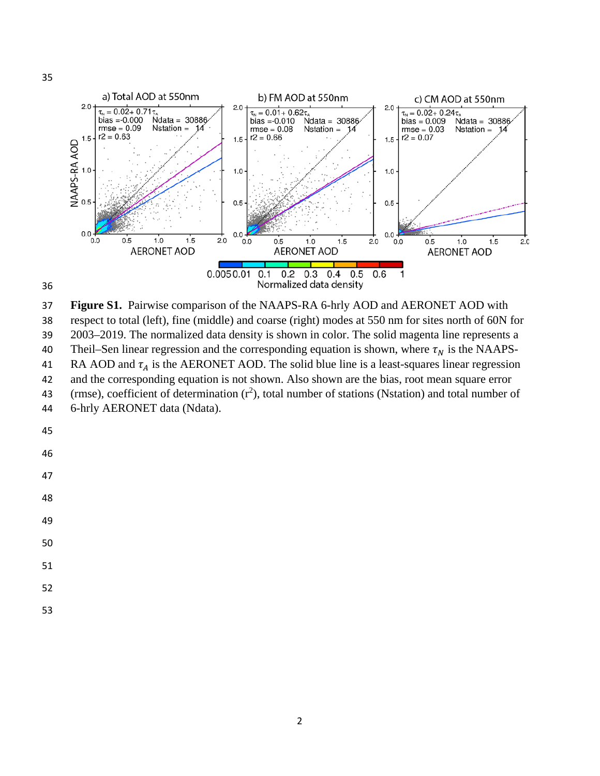

**Figure S1.** Pairwise comparison of the NAAPS-RA 6-hrly AOD and AERONET AOD with

respect to total (left), fine (middle) and coarse (right) modes at 550 nm for sites north of 60N for

2003–2019. The normalized data density is shown in color. The solid magenta line represents a

40 Theil–Sen linear regression and the corresponding equation is shown, where  $\tau_N$  is the NAAPS-<br>41 RA AOD and  $\tau_A$  is the AERONET AOD. The solid blue line is a least-squares linear regression

41 RA AOD and  $\tau_A$  is the AERONET AOD. The solid blue line is a least-squares linear regression<br>42 and the corresponding equation is not shown. Also shown are the bias, root mean square error

- and the corresponding equation is not shown. Also shown are the bias, root mean square error
- 43 (rmse), coefficient of determination  $(r^2)$ , total number of stations (Nstation) and total number of 6-hrly AERONET data (Ndata).
- 

 

- 
- 

- 
- 
-